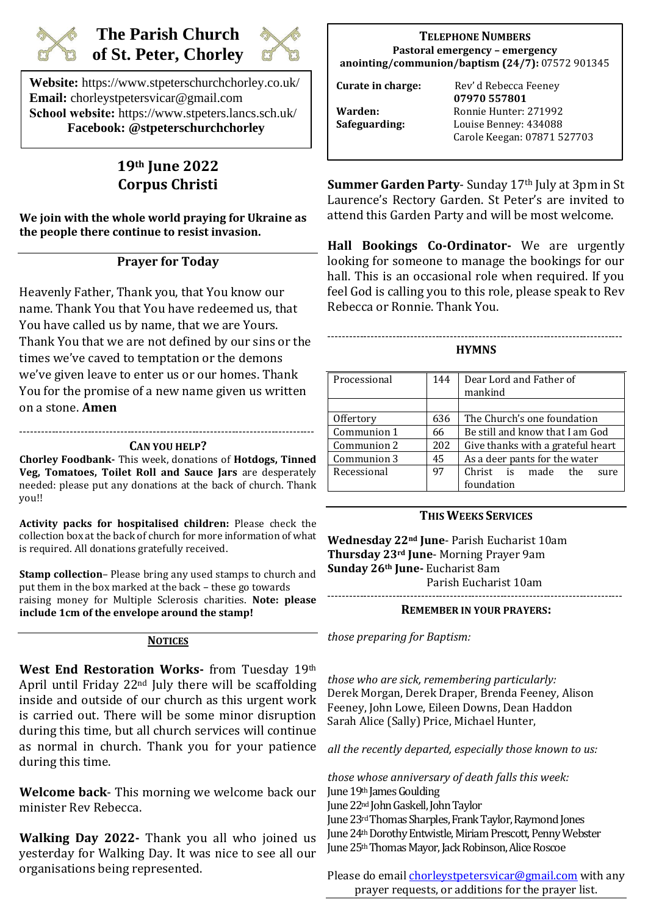

# **The Parish Church of St. Peter, Chorley**



**Website:** https://www.stpeterschurchchorley.co.uk/ **Email:** chorleystpetersvicar@gmail.com **School website:** https://www.stpeters.lancs.sch.uk/ **Facebook: @stpeterschurchchorley**

# **19th June 2022 Corpus Christi**

**We join with the whole world praying for Ukraine as the people there continue to resist invasion.**

# **Prayer for Today**

Heavenly Father, Thank you, that You know our name. Thank You that You have redeemed us, that You have called us by name, that we are Yours. Thank You that we are not defined by our sins or the times we've caved to temptation or the demons we've given leave to enter us or our homes. Thank You for the promise of a new name given us written on a stone. **Amen**

#### ---------------------------------------------------------------------------------- **CAN YOU HELP?**

**Chorley Foodbank-** This week, donations of **Hotdogs, Tinned Veg, Tomatoes, Toilet Roll and Sauce Jars** are desperately needed: please put any donations at the back of church. Thank you!!

**Activity packs for hospitalised children:** Please check the collection box at the back of church for more information of what is required. All donations gratefully received.

**Stamp collection**– Please bring any used stamps to church and put them in the box marked at the back – these go towards raising money for Multiple Sclerosis charities. **Note: please include 1cm of the envelope around the stamp!**

#### **NOTICES**

**West End Restoration Works-** from Tuesday 19th April until Friday 22nd July there will be scaffolding inside and outside of our church as this urgent work is carried out. There will be some minor disruption during this time, but all church services will continue as normal in church. Thank you for your patience during this time.

**Welcome back**- This morning we welcome back our minister Rev Rebecca.

**Walking Day 2022-** Thank you all who joined us yesterday for Walking Day. It was nice to see all our organisations being represented.

### **TELEPHONE NUMBERS Pastoral emergency – emergency anointing/communion/baptism (24/7):** 07572 901345

**Curate in charge:** Rev' d Rebecca Feeney

 **07970 557801 Warden:** Ronnie Hunter: 271992 **Safeguarding:** Louise Benney: 434088 Carole Keegan: 07871 527703

**Summer Garden Party-** Sunday 17<sup>th</sup> July at 3pm in St Laurence's Rectory Garden. St Peter's are invited to attend this Garden Party and will be most welcome.

**Hall Bookings Co-Ordinator-** We are urgently looking for someone to manage the bookings for our hall. This is an occasional role when required. If you feel God is calling you to this role, please speak to Rev Rebecca or Ronnie. Thank You.

#### ---------------------------------------------------------------------------------- **HYMNS**

| Processional | 144 | Dear Lord and Father of           |
|--------------|-----|-----------------------------------|
|              |     | mankind                           |
|              |     |                                   |
| Offertory    | 636 | The Church's one foundation       |
| Communion 1  | 66  | Be still and know that I am God   |
| Communion 2  | 202 | Give thanks with a grateful heart |
| Communion 3  | 45  | As a deer pants for the water     |
| Recessional  | 97  | Christ is made the<br>sure        |
|              |     | foundation                        |

#### **THIS WEEKS SERVICES**

**Wednesday 22nd June**- Parish Eucharist 10am **Thursday 23rd June**- Morning Prayer 9am **Sunday 26th June-** Eucharist 8am Parish Eucharist 10am ----------------------------------------------------------------------------------

#### **REMEMBER IN YOUR PRAYERS:**

*those preparing for Baptism:* 

*those who are sick, remembering particularly:*  Derek Morgan, Derek Draper, Brenda Feeney, Alison Feeney, John Lowe, Eileen Downs, Dean Haddon Sarah Alice (Sally) Price, Michael Hunter,

*all the recently departed, especially those known to us:*

*those whose anniversary of death falls this week:* June 19th James Goulding June 22nd John Gaskell, John Taylor

June 23rdThomas Sharples, Frank Taylor, Raymond Jones June 24th Dorothy Entwistle, Miriam Prescott, Penny Webster June25thThomas Mayor, Jack Robinson, Alice Roscoe

Please do email *chorleystpetersvicar@gmail.com* with any prayer requests, or additions for the prayer list.